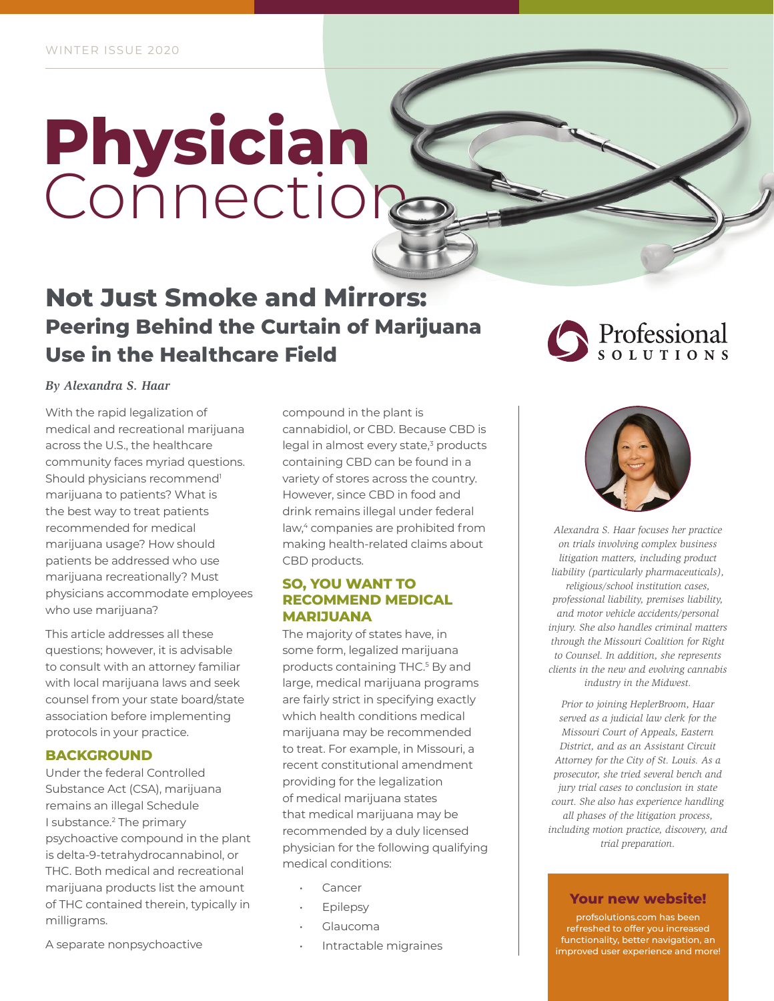# **Physician** Connection

## **Not Just Smoke and Mirrors: Peering Behind the Curtain of Marijuana Use in the Healthcare Field**

*By Alexandra S. Haar*

With the rapid legalization of medical and recreational marijuana across the U.S., the healthcare community faces myriad questions. Should physicians recommend<sup>1</sup> marijuana to patients? What is the best way to treat patients recommended for medical marijuana usage? How should patients be addressed who use marijuana recreationally? Must physicians accommodate employees who use marijuana?

This article addresses all these questions; however, it is advisable to consult with an attorney familiar with local marijuana laws and seek counsel from your state board/state association before implementing protocols in your practice.

#### **BACKGROUND**

Under the federal Controlled Substance Act (CSA), marijuana remains an illegal Schedule I substance.<sup>2</sup> The primary psychoactive compound in the plant is delta-9-tetrahydrocannabinol, or THC. Both medical and recreational marijuana products list the amount of THC contained therein, typically in milligrams.

compound in the plant is cannabidiol, or CBD. Because CBD is legal in almost every state,<sup>3</sup> products containing CBD can be found in a variety of stores across the country. However, since CBD in food and drink remains illegal under federal law,<sup>4</sup> companies are prohibited from making health-related claims about CBD products.

#### **SO, YOU WANT TO RECOMMEND MEDICAL MARIJUANA**

The majority of states have, in some form, legalized marijuana products containing THC.5 By and large, medical marijuana programs are fairly strict in specifying exactly which health conditions medical marijuana may be recommended to treat. For example, in Missouri, a recent constitutional amendment providing for the legalization of medical marijuana states that medical marijuana may be recommended by a duly licensed physician for the following qualifying medical conditions:

- **Cancer**
- **Epilepsy**
- Glaucoma
- Intractable migraines

## Professional



*Alexandra S. Haar focuses her practice on trials involving complex business litigation matters, including product liability (particularly pharmaceuticals), religious/school institution cases, professional liability, premises liability, and motor vehicle accidents/personal injury. She also handles criminal matters through the Missouri Coalition for Right to Counsel. In addition, she represents clients in the new and evolving cannabis industry in the Midwest.*

*Prior to joining HeplerBroom, Haar served as a judicial law clerk for the Missouri Court of Appeals, Eastern District, and as an Assistant Circuit Attorney for the City of St. Louis. As a prosecutor, she tried several bench and jury trial cases to conclusion in state court. She also has experience handling all phases of the litigation process, including motion practice, discovery, and trial preparation.*

#### **Your new website!**

profsolutions.com has been refreshed to offer you increased functionality, better navigation, an improved user experience and more!

A separate nonpsychoactive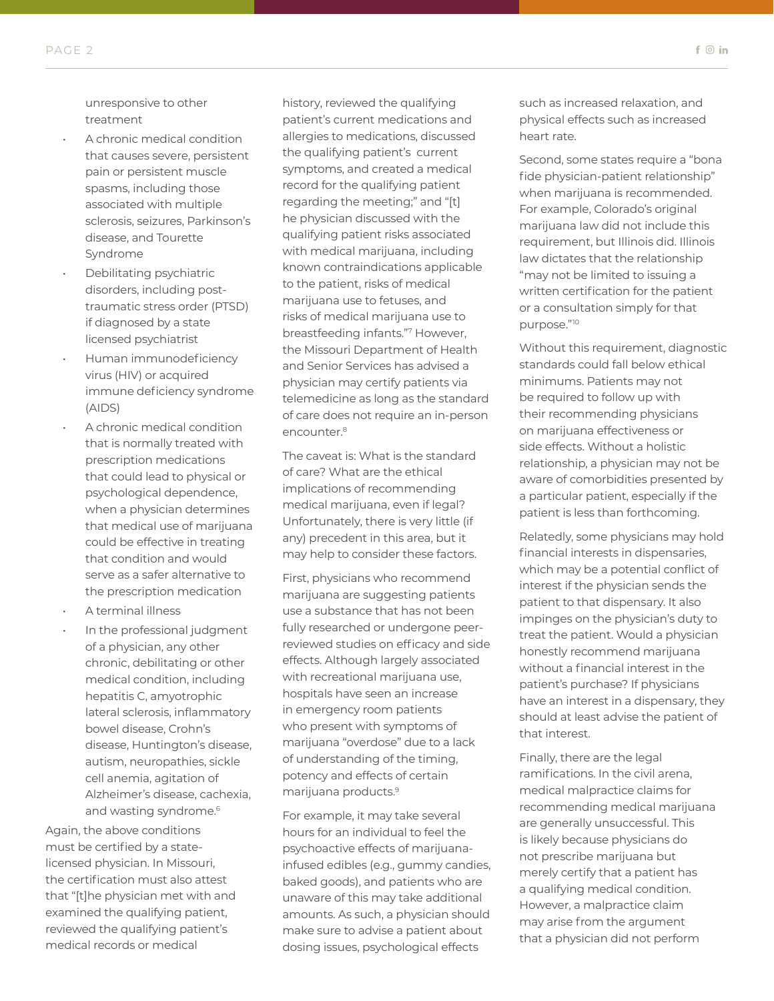unresponsive to other treatment

- A chronic medical condition that causes severe, persistent pain or persistent muscle spasms, including those associated with multiple sclerosis, seizures, Parkinson's disease, and Tourette Syndrome
- Debilitating psychiatric disorders, including posttraumatic stress order (PTSD) if diagnosed by a state licensed psychiatrist
- Human immunodeficiency virus (HIV) or acquired immune deficiency syndrome (AIDS)
- A chronic medical condition that is normally treated with prescription medications that could lead to physical or psychological dependence, when a physician determines that medical use of marijuana could be effective in treating that condition and would serve as a safer alternative to the prescription medication
- A terminal illness
- In the professional judgment of a physician, any other chronic, debilitating or other medical condition, including hepatitis C, amyotrophic lateral sclerosis, inflammatory bowel disease, Crohn's disease, Huntington's disease, autism, neuropathies, sickle cell anemia, agitation of Alzheimer's disease, cachexia, and wasting syndrome.<sup>6</sup>

Again, the above conditions must be certified by a statelicensed physician. In Missouri, the certification must also attest that "[t]he physician met with and examined the qualifying patient, reviewed the qualifying patient's medical records or medical

history, reviewed the qualifying patient's current medications and allergies to medications, discussed the qualifying patient's current symptoms, and created a medical record for the qualifying patient regarding the meeting;" and "[t] he physician discussed with the qualifying patient risks associated with medical marijuana, including known contraindications applicable to the patient, risks of medical marijuana use to fetuses, and risks of medical marijuana use to breastfeeding infants."7 However, the Missouri Department of Health and Senior Services has advised a physician may certify patients via telemedicine as long as the standard of care does not require an in-person encounter.<sup>8</sup>

The caveat is: What is the standard of care? What are the ethical implications of recommending medical marijuana, even if legal? Unfortunately, there is very little (if any) precedent in this area, but it may help to consider these factors.

First, physicians who recommend marijuana are suggesting patients use a substance that has not been fully researched or undergone peerreviewed studies on efficacy and side effects. Although largely associated with recreational marijuana use, hospitals have seen an increase in emergency room patients who present with symptoms of marijuana "overdose" due to a lack of understanding of the timing, potency and effects of certain marijuana products.9

For example, it may take several hours for an individual to feel the psychoactive effects of marijuanainfused edibles (e.g., gummy candies, baked goods), and patients who are unaware of this may take additional amounts. As such, a physician should make sure to advise a patient about dosing issues, psychological effects

such as increased relaxation, and physical effects such as increased heart rate.

Second, some states require a "bona fide physician-patient relationship" when marijuana is recommended. For example, Colorado's original marijuana law did not include this requirement, but Illinois did. Illinois law dictates that the relationship "may not be limited to issuing a written certification for the patient or a consultation simply for that purpose."10

Without this requirement, diagnostic standards could fall below ethical minimums. Patients may not be required to follow up with their recommending physicians on marijuana effectiveness or side effects. Without a holistic relationship, a physician may not be aware of comorbidities presented by a particular patient, especially if the patient is less than forthcoming.

Relatedly, some physicians may hold financial interests in dispensaries, which may be a potential conflict of interest if the physician sends the patient to that dispensary. It also impinges on the physician's duty to treat the patient. Would a physician honestly recommend marijuana without a financial interest in the patient's purchase? If physicians have an interest in a dispensary, they should at least advise the patient of that interest.

Finally, there are the legal ramifications. In the civil arena, medical malpractice claims for recommending medical marijuana are generally unsuccessful. This is likely because physicians do not prescribe marijuana but merely certify that a patient has a qualifying medical condition. However, a malpractice claim may arise from the argument that a physician did not perform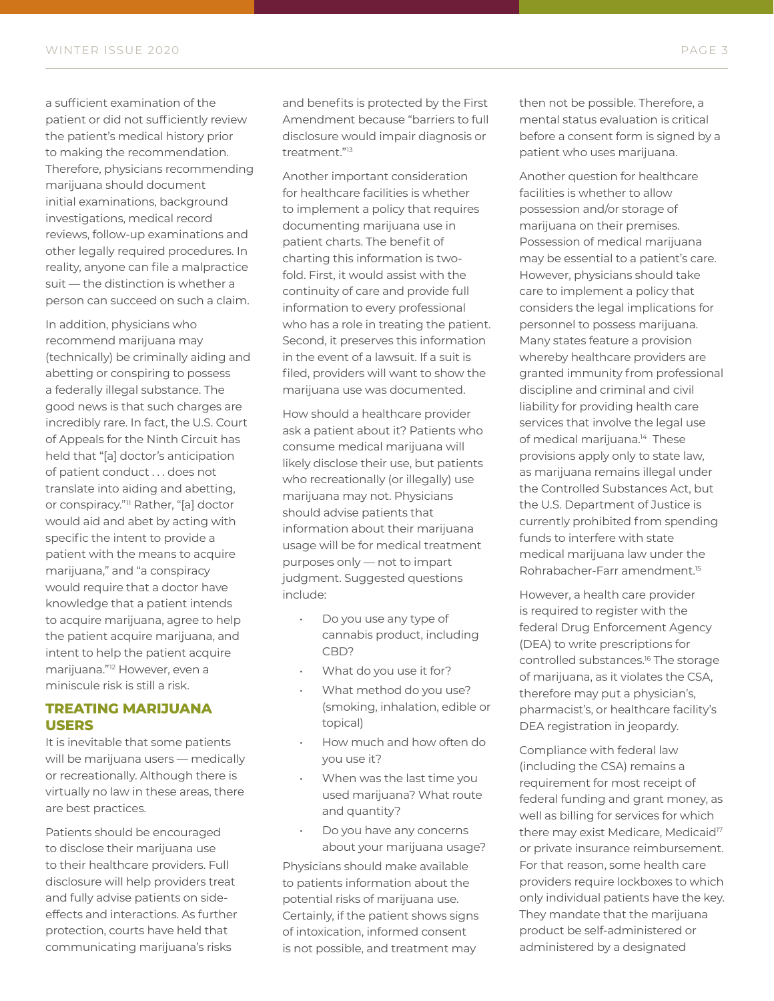a sufficient examination of the patient or did not sufficiently review the patient's medical history prior to making the recommendation. Therefore, physicians recommending marijuana should document initial examinations, background investigations, medical record reviews, follow-up examinations and other legally required procedures. In reality, anyone can file a malpractice suit — the distinction is whether a person can succeed on such a claim.

In addition, physicians who recommend marijuana may (technically) be criminally aiding and abetting or conspiring to possess a federally illegal substance. The good news is that such charges are incredibly rare. In fact, the U.S. Court of Appeals for the Ninth Circuit has held that "[a] doctor's anticipation of patient conduct . . . does not translate into aiding and abetting, or conspiracy."<sup>11</sup> Rather, "[a] doctor would aid and abet by acting with specific the intent to provide a patient with the means to acquire marijuana," and "a conspiracy would require that a doctor have knowledge that a patient intends to acquire marijuana, agree to help the patient acquire marijuana, and intent to help the patient acquire marijuana."12 However, even a miniscule risk is still a risk.

#### **TREATING MARIJUANA USERS**

It is inevitable that some patients will be marijuana users — medically or recreationally. Although there is virtually no law in these areas, there are best practices.

Patients should be encouraged to disclose their marijuana use to their healthcare providers. Full disclosure will help providers treat and fully advise patients on sideeffects and interactions. As further protection, courts have held that communicating marijuana's risks

and benefits is protected by the First Amendment because "barriers to full disclosure would impair diagnosis or treatment."13

Another important consideration for healthcare facilities is whether to implement a policy that requires documenting marijuana use in patient charts. The benefit of charting this information is twofold. First, it would assist with the continuity of care and provide full information to every professional who has a role in treating the patient. Second, it preserves this information in the event of a lawsuit. If a suit is filed, providers will want to show the marijuana use was documented.

How should a healthcare provider ask a patient about it? Patients who consume medical marijuana will likely disclose their use, but patients who recreationally (or illegally) use marijuana may not. Physicians should advise patients that information about their marijuana usage will be for medical treatment purposes only — not to impart judgment. Suggested questions include:

- Do you use any type of cannabis product, including CBD?
- What do you use it for?
- What method do you use? (smoking, inhalation, edible or topical)
- How much and how often do you use it?
- When was the last time you used marijuana? What route and quantity?
- Do you have any concerns about your marijuana usage?

Physicians should make available to patients information about the potential risks of marijuana use. Certainly, if the patient shows signs of intoxication, informed consent is not possible, and treatment may

then not be possible. Therefore, a mental status evaluation is critical before a consent form is signed by a patient who uses marijuana.

Another question for healthcare facilities is whether to allow possession and/or storage of marijuana on their premises. Possession of medical marijuana may be essential to a patient's care. However, physicians should take care to implement a policy that considers the legal implications for personnel to possess marijuana. Many states feature a provision whereby healthcare providers are granted immunity from professional discipline and criminal and civil liability for providing health care services that involve the legal use of medical marijuana.<sup>14</sup> These provisions apply only to state law, as marijuana remains illegal under the Controlled Substances Act, but the U.S. Department of Justice is currently prohibited from spending funds to interfere with state medical marijuana law under the Rohrabacher-Farr amendment.15

However, a health care provider is required to register with the federal Drug Enforcement Agency (DEA) to write prescriptions for controlled substances.16 The storage of marijuana, as it violates the CSA, therefore may put a physician's, pharmacist's, or healthcare facility's DEA registration in jeopardy.

Compliance with federal law (including the CSA) remains a requirement for most receipt of federal funding and grant money, as well as billing for services for which there may exist Medicare, Medicaid<sup>17</sup> or private insurance reimbursement. For that reason, some health care providers require lockboxes to which only individual patients have the key. They mandate that the marijuana product be self-administered or administered by a designated